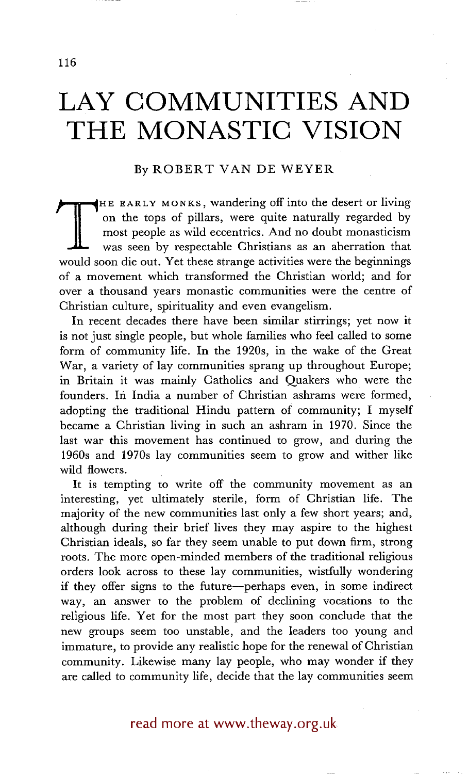# **LAY COMMUNITIES AND THE MONASTIC VISION**

## By ROBERT VAN DE WEYER

THE EARLY MONNE, Wandeling on the die described Fings<br>on the tops of pillars, were quite naturally regarded by<br>most people as wild eccentrics. And no doubt monasticism<br>was seen by respectable Christians as an aberration th HE EARLY MONKS, wandering off into the desert or living on the tops of pillars, were quite naturally regarded by most people as wild eccentrics. And no doubt monasticism was seen by respectable Christians as an aberration that of a movement which transformed the Christian world; and for over a thousand years monastic communities were the centre of Christian culture, spirituality and even evangelism.

In recent decades there have been similar stirrings; yet now it is not just single people, but whole families who feel called to some form of community life. In the 1920s, in the wake of the Great War, a variety of lay communities sprang up throughout Europe; in Britain it was mainly Catholics and Quakers who were the founders. In India a number of Christian ashrams were formed, adopting the traditional Hindu pattern of community; I myself became a Christian living in such an ashram in 1970. Since the last war this movement has continued to grow, and during the 1960s and 1970s lay communities seem to grow and wither like wild flowers.

It is tempting to write off the community movement as an interesting, yet ultimately sterile, form of Christian life. The majority of the new communities last only a few short years; and, although during their brief lives they may aspire to the highest Christian ideals, so far they seem unable to put down firm, strong roots. The more open-minded members of the traditional religious orders look across to these lay communities, wistfully wondering if they offer signs to the future--perhaps even, in some indirect way, an answer to the problem of declining vocations to the religious life. Yet for the most part they soon conclude that the new groups seem too unstable, and the leaders too young and immature, to provide any realistic hope for the renewal of Christian community. Likewise many lay people, who may wonder if they are called to community life, decide that the lay communities seem

read more at www.theway.org.uk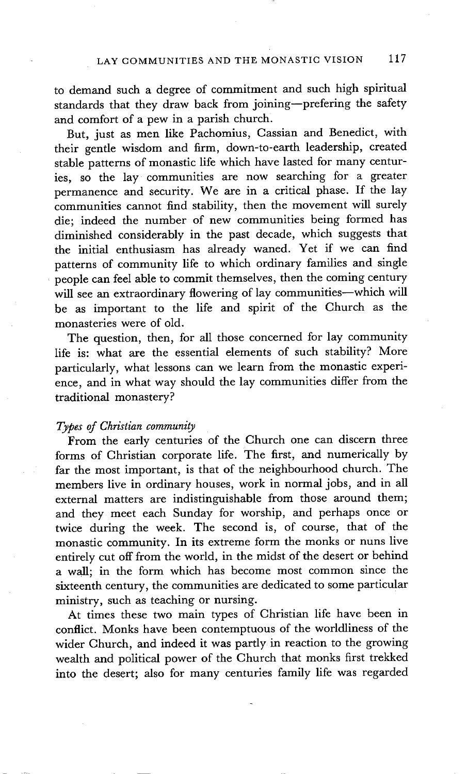to demand such a degree of commitment and such high spiritual standards that they draw back from joining--prefering the safety and comfort of a pew in a parish church.

But, just as men like Pachomius, Cassian and Benedict, with their gentle wisdom and firm, down-to-earth leadership, created stable patterns of monastic life which have lasted for many centuries, so the lay communities are now searching for a greater permanence and security. We are in a critical phase. If the lay communities cannot find stability, then the movement will surely die; indeed the number of new communities being formed has diminished considerably in the past decade, which suggests that the initial enthusiasm has already waned. Yet if we can find patterns of community life to which ordinary families and single people can feel able to commit themselves, then the coming century will see an extraordinary flowering of lay communities-which will be as important to the life and spirit of the Church as the monasteries were of old.

The question, then, for all those concerned for lay community life is: what are the essential elements of such stability? More particularly, what lessons can we learn from the monastic experience, and in what way should the lay communities differ from the traditional monastery?

#### *Types of Christian community*

From the early centuries of the Church one can discern three forms of Christian corporate life. The first, and numerically by far the most important, is that of the neighbourhood church. The members live in ordinary houses, work in normal jobs, and in all external matters are indistinguishable from those around them; and they meet each Sunday for worship, and perhaps once or twice during the week. The second is, of course, that of the monastic community. In its extreme form the monks or nuns live entirely cut off from the world, in the midst of the desert or behind a wall; in the form which has become most common since the sixteenth century, the communities are dedicated to some particular ministry, such as teaching or nursing.

At times these two main types of Christian life have been in conflict. Monks have been contemptuous of the worldliness of the wider Church, and indeed it was partly in reaction to the growing wealth and political power of the Church that monks first trekked into the desert; also for many centuries family life was regarded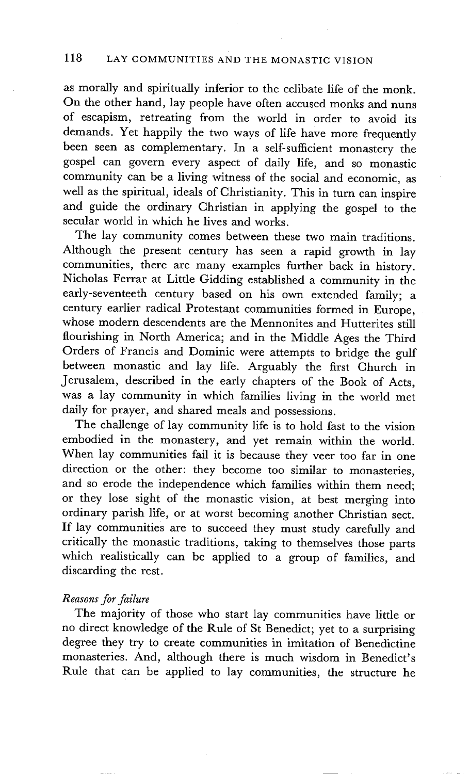as morally and spiritually inferior to the celibate life of the monk. On the other hand, lay people have often accused monks and nuns of escapism, retreating from the world in order to avoid its demands. Yet happily the two ways of life have more frequently been seen as complementary. In a self-sufficient monastery the gospel can govern every aspect of daily life, and so monastic community can be a living witness of the social and economic, as well as the spiritual, ideals of Christianity. This in turn can inspire and guide the ordinary Christian in applying the gospel to the secular world in which he lives and works.

The lay community comes between these two main traditions. Although the present century has seen a rapid growth in lay communities, there are many examples further back in history. Nicholas Ferrar at Little Gidding established a community in the early-seventeeth century based on his own extended family; a century earlier radical Protestant communities formed in Europe, whose modern descendents are the Mennonites and Hutterites still flourishing in North America; and in the Middle Ages the Third Orders of Francis and Dominic were attempts to bridge the gulf between monastic and lay life. Arguably the first Church in Jerusalem, described in the early chapters of the Book of Acts, was a lay community in which families living in the world met daily for prayer, and shared meals and possessions.

The challenge of lay community life is to hold fast to the vision embodied in the monastery, and yet remain within the world. When lay communities fail it is because they veer too far in one direction or the other: they become too similar to monasteries, and so erode the independence which families within them need; or they lose sight of the monastic vision, at best merging into ordinary parish life, or at worst becoming another Christian sect. If lay communities are to succeed they must study carefully and critically the monastic traditions, taking to themselves those parts which realistically can be applied to a group of families, and discarding the rest.

#### *Reasons for failure*

The majority of those who start lay communities have little or no direct knowledge of the Rule of St Benedict; yet to a surprising degree they try to create communities in imitation of Benedictine monasteries. And, although there is much wisdom in Benedict's Rule that can be applied to lay communities, the structure he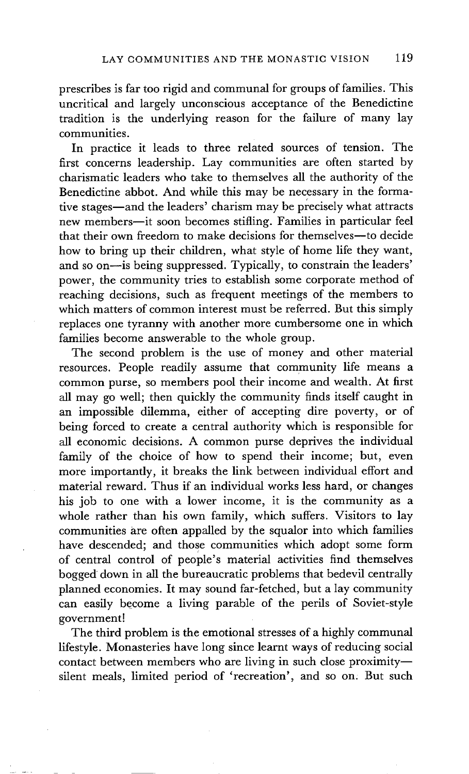prescribes is far too rigid and communal for groups of families. This uncritical and largely unconscious acceptance of the Benedictine tradition is the underlying reason for the failure of many lay communities.

In practice it leads to three related sources of tension. The first concerns leadership. Lay communities are often started by charismatic leaders who take to themselves all the authority of the Benedictine abbot. And while this may be necessary in the formative stages-and the leaders' charism may be precisely what attracts new members--it soon becomes stifling. Families in particular feel that their own freedom to make decisions for themselves--to decide how to bring up their children, what style of home life they want, and so on--is being suppressed. Typically, to constrain the leaders' power, the community tries to establish some corporate method of reaching decisions, such as frequent meetings of the members to which matters of common interest must be referred. But this simply replaces one tyranny with another more cumbersome one in which families become answerable to the whole group.

The second problem is the use of money and other material resources. People readily assume that community life means a common purse, so members pool their income and wealth. At first all may go well; then quickly the community finds itself caught in an impossible dilemma, either of accepting dire poverty, or of being forced to create a central authority which is responsible for all economic decisions. A common purse deprives the individual family of the choice of how to spend their income; but, even more importantly, it breaks the link between individual effort and material reward. Thus if an individual works less hard, or changes his job to one with a lower income, it is the community as a whole rather than his own family, which suffers. Visitors to lay communities are often appalled by the squalor into which families have descended; and those communities which adopt some form of central control of people's material activities find themselves bogged" down in all the bureaucratic problems that bedevil centrally planned economies. It may sound far-fetched, but a lay community can easily become a living parable of the perils of Soviet-style government!

The third problem is the emotional stresses of a highly communal lifestyle. Monasteries have long since learnt ways of reducing social contact between members who are living in such close proximity-silent meals, limited period of 'recreation', and so on. But such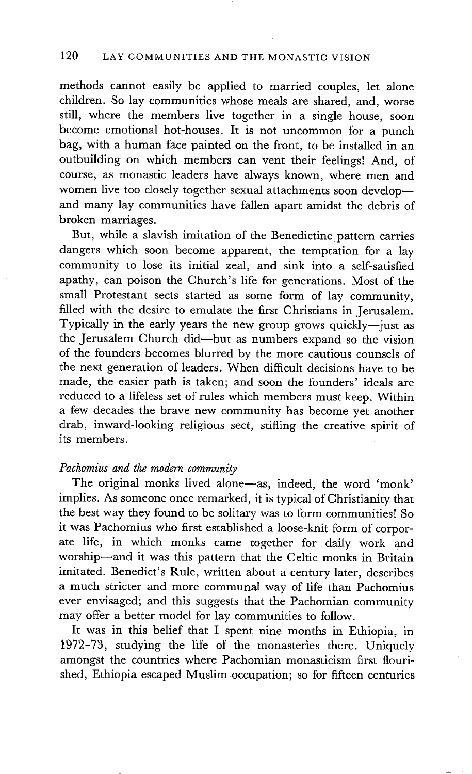methods cannot easily be applied to married couples, let alone children. So lay communities whose meals are shared, and, worse still, where the members live together in a single house, soon become emotional hot-houses. It is not uncommon for a punch bag, with a human face painted on the front, to be installed in an outbuilding on which members can vent their feelings! And, of course, as monastic leaders have always known, where men and women live too closely together sexual attachments soon developand many lay communities have fallen apart amidst the debris of broken marriages.

But, while a slavish imitation of the Benedictine pattern carries dangers which soon become apparent, the temptation for a lay community to lose its initial zeal, and sink into a self-satisfied apathy, can poison the Church's life for generations. Most of the small Protestant sects started as some form of lay community, filled with the desire to emulate the first Christians in Jerusalem. Typically in the early years the new group grows quickly--just as the Jerusalem Church did--but as numbers expand so the vision of the founders becomes blurred by the more cautious counsels of the next generation of leaders. When difficult decisions have to be made, the easier path is taken; and soon the founders' ideals are reduced to a lifeless set of rules which members must keep. Within a few decades the brave new community has become yet another drab, inward-looking religious sect, stifling the creative spirit of its members.

#### *Pachomius and the modern community*

The original monks lived alone--as, indeed, the word 'monk' implies. As someone once remarked, it is typical of Christianity that the best way they found to be solitary was to form communities! So it was Pachomius who first established a loose-knit form of corporate life, in which monks came together for daily work and worship--and it was this pattern that the Celtic monks in Britain imitated. Benedict's Rule, written about a century later, describes a much stricter and more communal way of life than Pachomius ever envisaged; and this suggests that the Pachomian community may offer a better model for lay communities to follow.

It was in this belief that I spent nine months in Ethiopia, in 1972-73, studying the llfe of the monasteries there. Uniquely amongst the countries where Pachomian monasticism first flourished, Ethiopia escaped Muslim occupation; so for fifteen centuries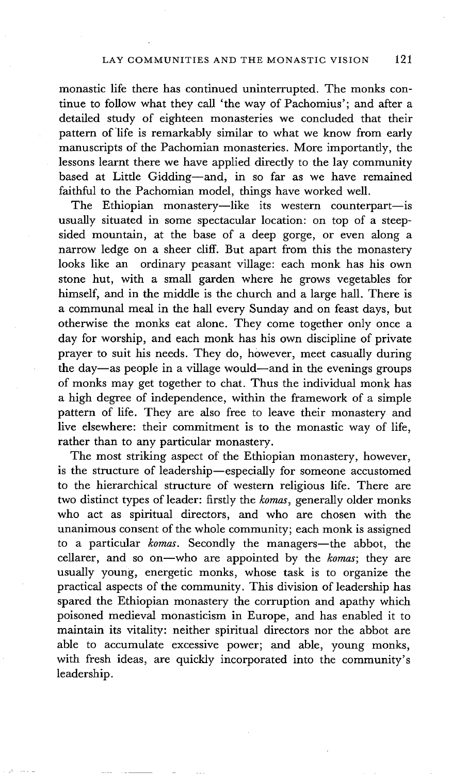monastic life there has continued uninterrupted. The monks continue to follow what they call 'the way of Pachomius'; and after a detailed study of eighteen monasteries we concluded that their pattern of life is remarkably similar to what we know from early manuscripts of the Pachomian monasteries. More importantly, the lessons learnt there we have applied directly to the lay community based at Little Gidding-and, in so far as we have remained faithful to the Pachomian model, things have worked well.

The Ethiopian monastery--like its western counterpart-is usually situated in some spectacular location: on top of a steepsided mountain, at the base of a deep gorge, or even along a narrow ledge on a sheer cliff. But apart from this the monastery looks like an ordinary peasant village: each monk has his own stone hut, with a small garden where he grows vegetables for himself, and in the middle is the church and a large hall. There is a communal meal in the hall every Sunday and on feast days, but otherwise the monks eat alone. They come together only once a day for worship, and each monk has his own discipline of private prayer to suit his needs. They do, however, meet casually during the day-as people in a village would--and in the evenings groups of monks may get together to chat. Thus the individual monk has a high degree of independence, within the framework of a simple pattern of life. They are also free to leave their monastery and live elsewhere: their commitment is to the monastic way of life, rather than to any particular monastery.

The most striking aspect of the Ethiopian monastery, however, is the structure of leadership-especially for someone accustomed to the hierarchical structure of western religious life. There are two distinct types of leader: firstly the *komas,* generally older monks who act as spiritual directors, and who are chosen with the unanimous consent of the whole community; each monk is assigned to a particular *komas*. Secondly the managers—the abbot, the cellarer, and so on--who are appointed by the *komas;* they are usually young, energetic monks, whose task is to organize the practical aspects of the community. This division of leadership has spared the Ethiopian monastery the corruption and apathy which poisoned medieval monasticism in Europe, and has enabled it to maintain its vitality: neither spiritual directors nor the abbot are able to accumulate excessive power; and able, young monks, with fresh ideas, are quickly incorporated into the community's leadership.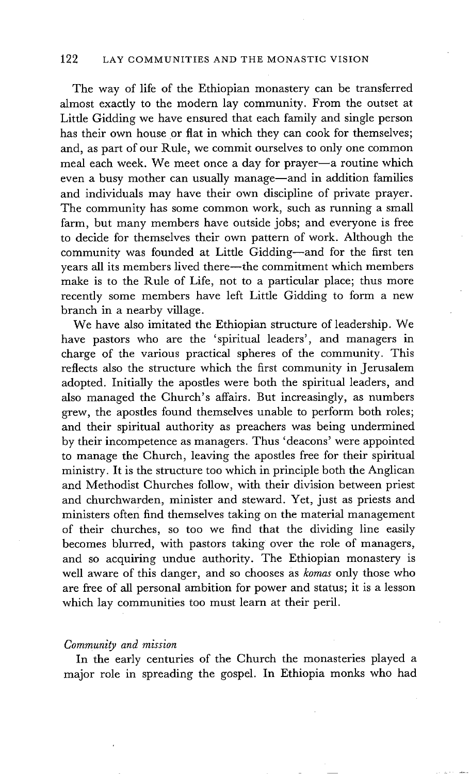## 122 LAY COMMUNITIES AND THE MONASTIC VISION

The way of life of the Ethiopian monastery can be transferred almost exactly to the modern lay community. From the outset at Little Gidding we have ensured that each family and single person has their own house or flat in which they can cook for themselves; and, as part of our Rule, we commit ourselves to only one common meal each week. We meet once a day for prayer-a routine which even a busy mother can usually manage—and in addition families and individuals may have their own discipline of private prayer. The community has some common work, such as running a small farm, but many members have outside jobs; and everyone is free to decide for themselves their own pattern of work. Although the community was founded at Little Gidding--and for the first ten years all its members lived there—the commitment which members make is to the Rule of Life, not to a particular place; thus more recently some members have left Little Gidding to form a new branch in a nearby village.

We have also imitated the Ethiopian structure of leadership. We have pastors who are the 'spiritual leaders', and managers in charge of the various practical spheres of the community. This reflects also the structure which the first community in Jerusalem adopted. Initially the apostles were both the spiritual leaders, and also managed the Church's affairs. But increasingly, as numbers grew, the apostles found themselves unable to perform both roles; and their spiritual authority as preachers was being undermined by their incompetence as managers. Thus 'deacons' were appointed to manage the Church, leaving the apostles free for their spiritual ministry. It is the structure too which in principle both the Anglican and Methodist Churches follow, with their division between priest and churchwarden, minister and steward. Yet, just as priests and ministers often find themselves taking on the material management of their churches, so too we find that the dividing line easily becomes blurred, with pastors taking over the role of managers, and so acquiring undue authority. The Ethiopian monastery is well aware of this danger, and so chooses as *komas* only those who are free of all personal ambition for power and status; it is a lesson which lay communities too must learn at their peril.

#### *Community and mission*

In the early centuries of the Church the monasteries played a major role in spreading the gospel. In Ethiopia monks who had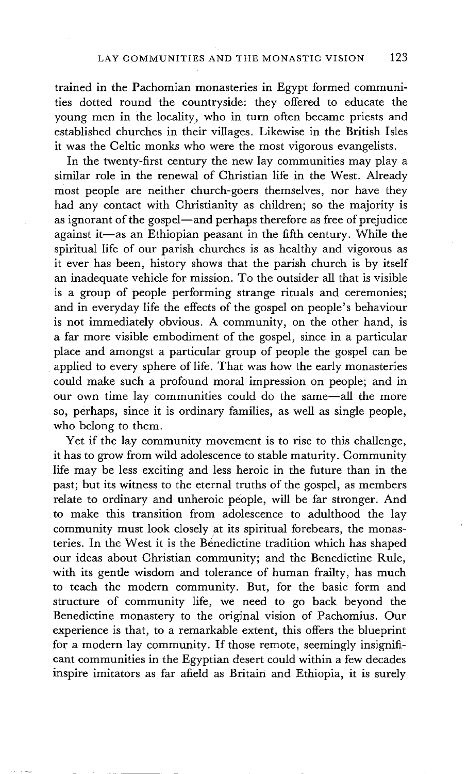trained in the Pachomian monasteries in Egypt formed communities dotted round the countryside: they offered to educate the young men in the locality, who in turn often became priests and established churches in their villages. Likewise in the British Isles it was the Celtic monks who were the most vigorous evangelists.

In the twenty-first century the new lay communities may play a similar role in the renewal of Christian life in the West. Already most people are neither church-goers themselves, nor have they had any contact with Christianity as children; so the majority is as ignorant of the gospel--and perhaps therefore as free of prejudice against it-as an Ethiopian peasant in the fifth century. While the spiritual life of our parish churches is as healthy and vigorous as it ever has been, history shows that the parish church is by itself an inadequate vehicle for mission. To the outsider all that is visible is a group of people performing strange rituals and ceremonies; and in everyday life the effects of the gospel on people's behaviour is not immediately obvious. A community, on the other hand, is a far more visible embodiment of the gospel, since in a particular place and amongst a particular group of people the gospel can be applied to every sphere of life. That was how the early monasteries could make such a profound moral impression on people; and in our own time lay communities could do the same--all the more so, perhaps, since it is ordinary families, as well as single people, who belong to them.

Yet if the lay community movement is to rise to this challenge, it has to grow from wild adolescence to stable maturity. Community life may be less exciting and less heroic in the future than in the past; but its witness to the eternal truths of the gospel, as members relate to ordinary and unheroic people, will be far stronger. And to make this transition from adolescence to adulthood the lay community must look closely at its spiritual forebears, the monasteries. In the West it is the Benedictine tradition which has shaped our ideas about Christian community; and the Benedictine Rule, with its gentle wisdom and tolerance of human frailty, has much to teach the modern community. But, for the basic form and structure of community life, we need to go back beyond the Benedictine monastery to the original vision of Pachomius. Our experience is that, to a remarkable extent, this offers the blueprint for a modern lay community. If those remote, seemingly insignificant communities in the Egyptian desert could within a few decades inspire imitators as far afield as Britain and Ethiopia, it is surely